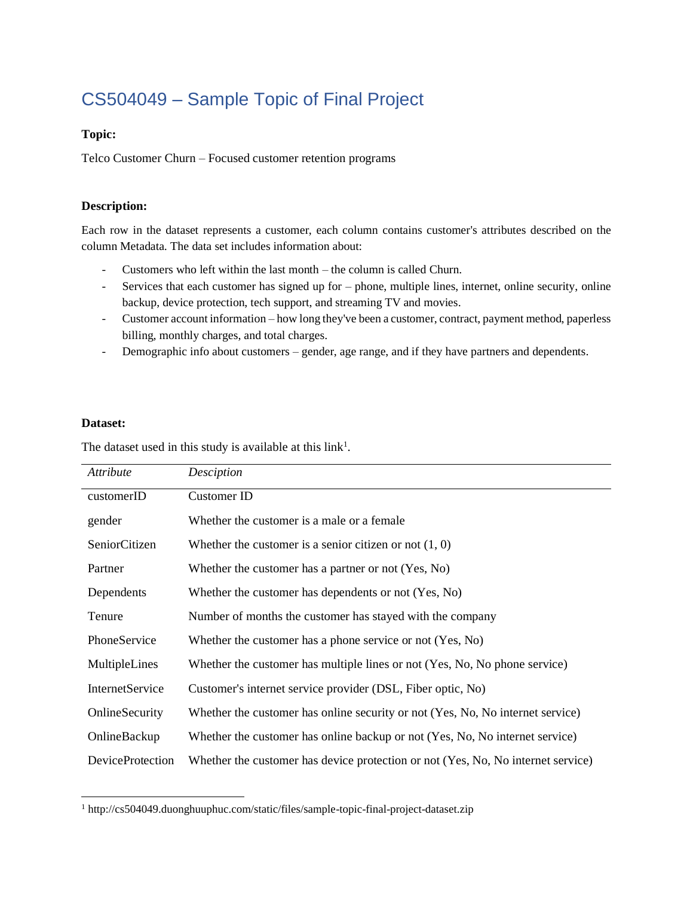# CS504049 – Sample Topic of Final Project

#### **Topic:**

Telco Customer Churn – Focused customer retention programs

#### **Description:**

Each row in the dataset represents a customer, each column contains customer's attributes described on the column Metadata. The data set includes information about:

- Customers who left within the last month the column is called Churn.
- Services that each customer has signed up for phone, multiple lines, internet, online security, online backup, device protection, tech support, and streaming TV and movies.
- Customer account information how long they've been a customer, contract, payment method, paperless billing, monthly charges, and total charges.
- Demographic info about customers gender, age range, and if they have partners and dependents.

#### **Dataset:**

The dataset used in this study is available at this  $link<sup>1</sup>$ .

| Attribute               | Desciption                                                                       |
|-------------------------|----------------------------------------------------------------------------------|
| customerID              | Customer ID                                                                      |
| gender                  | Whether the customer is a male or a female                                       |
| SeniorCitizen           | Whether the customer is a senior citizen or not $(1, 0)$                         |
| Partner                 | Whether the customer has a partner or not (Yes, No)                              |
| Dependents              | Whether the customer has dependents or not (Yes, No)                             |
| Tenure                  | Number of months the customer has stayed with the company                        |
| PhoneService            | Whether the customer has a phone service or not (Yes, No)                        |
| MultipleLines           | Whether the customer has multiple lines or not (Yes, No, No phone service)       |
| <b>InternetService</b>  | Customer's internet service provider (DSL, Fiber optic, No)                      |
| OnlineSecurity          | Whether the customer has online security or not (Yes, No, No internet service)   |
| OnlineBackup            | Whether the customer has online backup or not (Yes, No, No internet service)     |
| <b>DeviceProtection</b> | Whether the customer has device protection or not (Yes, No, No internet service) |

<sup>1</sup> http://cs504049.duonghuuphuc.com/static/files/sample-topic-final-project-dataset.zip